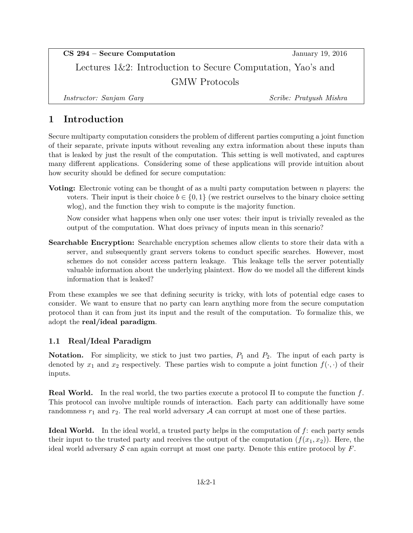**CS 294 – Secure Computation** January 19, 2016 Lectures 1&2: Introduction to Secure Computation, Yao's and GMW Protocols

*Instructor: Sanjam Garg Scribe: Pratyush Mishra*

# **1 Introduction**

Secure multiparty computation considers the problem of different parties computing a joint function of their separate, private inputs without revealing any extra information about these inputs than that is leaked by just the result of the computation. This setting is well motivated, and captures many different applications. Considering some of these applications will provide intuition about how security should be defined for secure computation:

**Voting:** Electronic voting can be thought of as a multi party computation between *n* players: the voters. Their input is their choice  $b \in \{0,1\}$  (we restrict ourselves to the binary choice setting wlog), and the function they wish to compute is the majority function.

Now consider what happens when only one user votes: their input is trivially revealed as the output of the computation. What does privacy of inputs mean in this scenario?

**Searchable Encryption:** Searchable encryption schemes allow clients to store their data with a server, and subsequently grant servers tokens to conduct specific searches. However, most schemes do not consider access pattern leakage. This leakage tells the server potentially valuable information about the underlying plaintext. How do we model all the different kinds information that is leaked?

From these examples we see that defining security is tricky, with lots of potential edge cases to consider. We want to ensure that no party can learn anything more from the secure computation protocol than it can from just its input and the result of the computation. To formalize this, we adopt the **real/ideal paradigm**.

## **1.1 Real/Ideal Paradigm**

**Notation.** For simplicity, we stick to just two parties, *P*<sup>1</sup> and *P*2. The input of each party is denoted by  $x_1$  and  $x_2$  respectively. These parties wish to compute a joint function  $f(\cdot, \cdot)$  of their inputs.

**Real World.** In the real world, the two parties execute a protocol Π to compute the function *f*. This protocol can involve multiple rounds of interaction. Each party can additionally have some randomness  $r_1$  and  $r_2$ . The real world adversary  $A$  can corrupt at most one of these parties.

**Ideal World.** In the ideal world, a trusted party helps in the computation of *f*: each party sends their input to the trusted party and receives the output of the computation  $(f(x_1, x_2))$ . Here, the ideal world adversary *S* can again corrupt at most one party. Denote this entire protocol by *F*.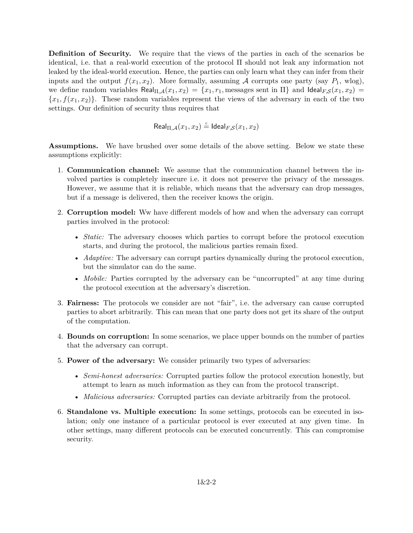**Definition of Security.** We require that the views of the parties in each of the scenarios be identical, i.e. that a real-world execution of the protocol Π should not leak any information not leaked by the ideal-world execution. Hence, the parties can only learn what they can infer from their inputs and the output  $f(x_1, x_2)$ . More formally, assuming A corrupts one party (say  $P_1$ , wlog), we define random variables  $\text{Real}_{\Pi,\mathcal{A}}(x_1, x_2) = \{x_1, r_1, \text{messages sent in } \Pi\}$  and  $\text{Ideal}_{F,\mathcal{S}}(x_1, x_2) =$  ${x_1, f(x_1, x_2)}$ . These random variables represent the views of the adversary in each of the two settings. Our definition of security thus requires that

$$
\mathsf{Real}_{\Pi,\mathcal{A}}(x_1,x_2) \stackrel{c}{=} \mathsf{Ideal}_{F,\mathcal{S}}(x_1,x_2)
$$

**Assumptions.** We have brushed over some details of the above setting. Below we state these assumptions explicitly:

- 1. **Communication channel:** We assume that the communication channel between the involved parties is completely insecure i.e. it does not preserve the privacy of the messages. However, we assume that it is reliable, which means that the adversary can drop messages, but if a message is delivered, then the receiver knows the origin.
- 2. **Corruption model:** Ww have different models of how and when the adversary can corrupt parties involved in the protocol:
	- *Static:* The adversary chooses which parties to corrupt before the protocol execution starts, and during the protocol, the malicious parties remain fixed.
	- *Adaptive:* The adversary can corrupt parties dynamically during the protocol execution, but the simulator can do the same.
	- *Mobile:* Parties corrupted by the adversary can be "uncorrupted" at any time during the protocol execution at the adversary's discretion.
- 3. **Fairness:** The protocols we consider are not "fair", i.e. the adversary can cause corrupted parties to abort arbitrarily. This can mean that one party does not get its share of the output of the computation.
- 4. **Bounds on corruption:** In some scenarios, we place upper bounds on the number of parties that the adversary can corrupt.
- 5. **Power of the adversary:** We consider primarily two types of adversaries:
	- *Semi-honest adversaries:* Corrupted parties follow the protocol execution honestly, but attempt to learn as much information as they can from the protocol transcript.
	- *Malicious adversaries:* Corrupted parties can deviate arbitrarily from the protocol.
- 6. **Standalone vs. Multiple execution:** In some settings, protocols can be executed in isolation; only one instance of a particular protocol is ever executed at any given time. In other settings, many different protocols can be executed concurrently. This can compromise security.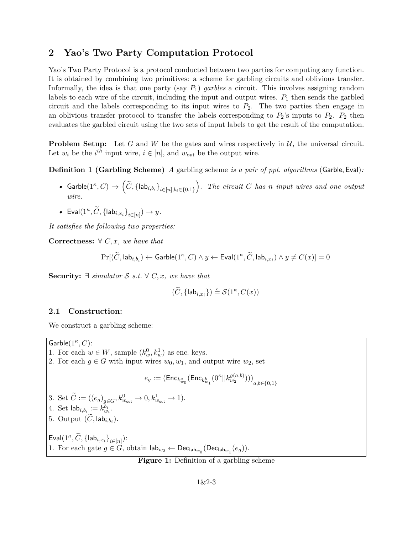## **2 Yao's Two Party Computation Protocol**

Yao's Two Party Protocol is a protocol conducted between two parties for computing any function. It is obtained by combining two primitives: a scheme for garbling circuits and oblivious transfer. Informally, the idea is that one party (say *P*1) *garbles* a circuit. This involves assigning random labels to each wire of the circuit, including the input and output wires.  $P_1$  then sends the garbled circuit and the labels corresponding to its input wires to  $P_2$ . The two parties then engage in an oblivious transfer protocol to transfer the labels corresponding to  $P_2$ 's inputs to  $P_2$ .  $P_2$  then evaluates the garbled circuit using the two sets of input labels to get the result of the computation.

**Problem Setup:** Let *G* and *W* be the gates and wires respectively in  $U$ , the universal circuit. Let  $w_i$  be the  $i^{th}$  input wire,  $i \in [n]$ , and  $w_{\text{out}}$  be the output wire.

**Definition 1 (Garbling Scheme)** *A* garbling scheme *is a pair of ppt. algorithms* (Garble*,* Eval)*:*

- Garble $(1^{\kappa}, C) \to (\tilde{C}, \{\mathsf{lab}_{i,b_i}\}_{i \in [n], b_i \in \{0,1\}})$ . The circuit C has n input wires and one output *wire.*
- Eval $(1^{\kappa}, \widetilde{C}, {\{\sf lab}_{i,x_i}\}}_{i \in [n]}) \rightarrow y.$

*It satisfies the following two properties:*

**Correctness:**  $\forall$  *C, x<sub></sub>, we have that* 

$$
\Pr[(\widetilde{C},\mathsf{lab}_{i,b_i}) \leftarrow \mathsf{Garble}(1^\kappa,C) \land y \leftarrow \mathsf{Eval}(1^\kappa,\widetilde{C},\mathsf{lab}_{i,x_i}) \land y \neq C(x)] = 0
$$

**Security:**  $∃$  *simulator*  $S$  *s.t.*  $∀$   $C, x$ *, we have that* 

$$
(\widetilde{C}, \{\mathsf{lab}_{i,x_i}\}) \stackrel{\mathsf{c}}{=} \mathcal{S}(1^\kappa, C(x))
$$

### **2.1 Construction:**

We construct a garbling scheme:

 $\mathsf{Garble}(1^\kappa, C)$ : 1. For each  $w \in W$ , sample  $(k_w^0, k_w^1)$  as enc. keys. 2. For each  $g \in G$  with input wires  $w_0, w_1$ , and output wire  $w_2$ , set  $e_g := \left(\mathsf{Enc}_{k^a_{w_0}}(\mathsf{Enc}_{k^b_{w_1}}(0^\kappa||k^{g(a,b)}_{w_2})))\right)_{a,b\in\{0,1\}}$ 3. Set  $\tilde{C} := ((e_g)_{g \in G}, k_{w_{\text{out}}}^0 \to 0, k_{w_{\text{out}}}^1 \to 1).$ 4. Set  $\textsf{lab}_{i,b_i} := k_{w_i}^{b_i}$ . 5. Output  $(C, \mathsf{lab}_{i,b_i})$ .  $\mathsf{Eval}(1^\kappa, \widetilde{C}, \{\mathsf{lab}_{i, x_i}\}_{i \in [n]})$ : 1. For each gate  $g \in G$ , obtain  $\mathsf{lab}_{w_2} \leftarrow \mathsf{Dec}_{\mathsf{lab}_{w_0}}(\mathsf{Dec}_{\mathsf{lab}_{w_1}}(e_g)).$ 

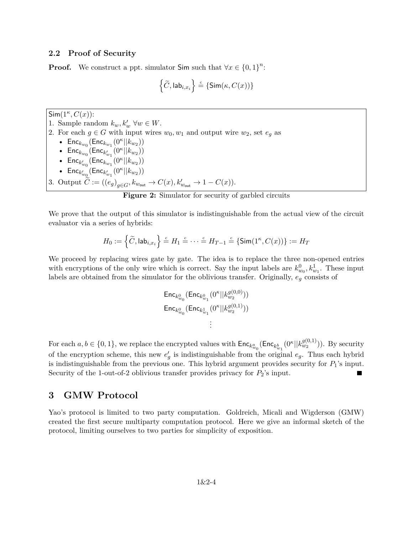#### **2.2 Proof of Security**

**Proof.** We construct a ppt. simulator Sim such that  $\forall x \in \{0,1\}^n$ :

$$
\left\{\widetilde{C}, \mathsf{lab}_{i, x_i}\right\} \stackrel{\text{c}}{=} \left\{\mathsf{Sim}(\kappa, C(x))\right\}
$$

 $\mathsf{Sim}(1^{\kappa}, C(x))$ :

- 1. Sample random  $k_w, k'_w \ \forall w \in W$ .
- 2. For each  $g \in G$  with input wires  $w_0, w_1$  and output wire  $w_2$ , set  $e_q$  as
	- $Enc_{k_{w_0}}(Enc_{k_{w_1}}(0^{\kappa}||k_{w_2}))$ •  $Enc_{k_{w_0}}(Enc_{k'_{w_1}}(^{0^{\kappa}}||k_{w_2}))$ • Enc<sub> $k'_{w_0}$ </sub> (Enc<sub> $k_{w_1}$ </sub> (0<sup> $k$ </sup> | $|k_{w_2}$ )) • Enc<sub>*k'w*</sub></sub> (Enc<sub>*k'w*<sub>1</sub></sub> (0<sup>*κ*</sup>|| $k_{w_2}$ ))
- 3. Output  $C := ((e_g)_{g \in G}, k_{w_{\text{out}}} \to C(x), k'_{w_{\text{out}}} \to 1 C(x)).$

**Figure 2:** Simulator for security of garbled circuits

We prove that the output of this simulator is indistinguishable from the actual view of the circuit evaluator via a series of hybrids:

$$
H_0 := \left\{ \widetilde{C}, \mathsf{lab}_{i,x_i} \right\} \stackrel{c}{=} H_1 \stackrel{c}{=} \cdots \stackrel{c}{=} H_{T-1} \stackrel{c}{=} \{ \mathsf{Sim}(1^{\kappa}, C(x)) \} := H_T
$$

We proceed by replacing wires gate by gate. The idea is to replace the three non-opened entries with encryptions of the only wire which is correct. Say the input labels are  $k_{w_0}^0, k_{w_1}^1$ . These input labels are obtained from the simulator for the oblivious transfer. Originally, *e<sup>g</sup>* consists of

$$
\begin{aligned} \text{Enc}_{k_{w_0}^0}(\text{Enc}_{k_{w_1}^0}(0^\kappa || k_{w_2}^{g(0,0)})) \\ \text{Enc}_{k_{w_0}^0}(\text{Enc}_{k_{w_1}^1}(0^\kappa || k_{w_2}^{g(0,1)})) \\ &\vdots \end{aligned}
$$

For each  $a, b \in \{0, 1\}$ , we replace the encrypted values with  $\mathsf{Enc}_{k_{w_0}^a}(\mathsf{Enc}_{k_{w_1}^b}(0^{\kappa}||k_{w_2}^{g(0,1)}))$ . By security of the encryption scheme, this new  $e'_{g}$  is indistinguishable from the original  $e_{g}$ . Thus each hybrid is indistinguishable from the previous one. This hybrid argument provides security for  $P_1$ 's input. Security of the 1-out-of-2 oblivious transfer provides privacy for *P*2's input.

### **3 GMW Protocol**

Yao's protocol is limited to two party computation. Goldreich, Micali and Wigderson (GMW) created the first secure multiparty computation protocol. Here we give an informal sketch of the protocol, limiting ourselves to two parties for simplicity of exposition.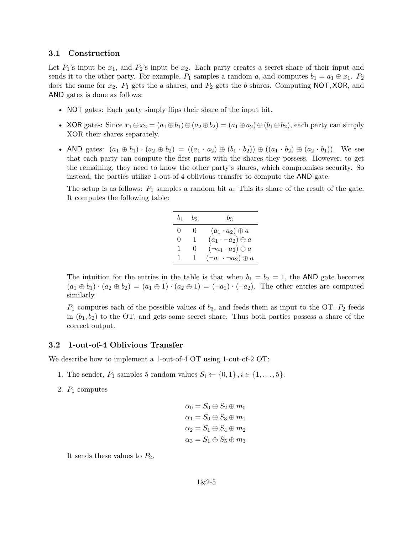#### **3.1 Construction**

Let  $P_1$ 's input be  $x_1$ , and  $P_2$ 's input be  $x_2$ . Each party creates a secret share of their input and sends it to the other party. For example,  $P_1$  samples a random *a*, and computes  $b_1 = a_1 \oplus x_1$ .  $P_2$ does the same for *x*2. *P*<sup>1</sup> gets the *a* shares, and *P*<sup>2</sup> gets the *b* shares. Computing NOT*,* XOR, and AND gates is done as follows:

- NOT gates: Each party simply flips their share of the input bit.
- XOR gates: Since  $x_1 \oplus x_2 = (a_1 \oplus b_1) \oplus (a_2 \oplus b_2) = (a_1 \oplus a_2) \oplus (b_1 \oplus b_2)$ , each party can simply XOR their shares separately.
- AND gates:  $(a_1 \oplus b_1) \cdot (a_2 \oplus b_2) = ((a_1 \cdot a_2) \oplus (b_1 \cdot b_2)) \oplus ((a_1 \cdot b_2) \oplus (a_2 \cdot b_1))$ . We see that each party can compute the first parts with the shares they possess. However, to get the remaining, they need to know the other party's shares, which compromises security. So instead, the parties utilize 1-out-of-4 oblivious transfer to compute the AND gate.

The setup is as follows: *P*<sup>1</sup> samples a random bit *a*. This its share of the result of the gate. It computes the following table:

| $b_1$        | b2.               | b3.                                  |
|--------------|-------------------|--------------------------------------|
| $\mathbf{0}$ | $\mathbf{0}$      | $(a_1 \cdot a_2) \oplus a$           |
| $\mathbf{0}$ | $\perp$           | $(a_1 \cdot \neg a_2) \oplus a$      |
| 1            | $\mathbf{\Omega}$ | $(\neg a_1 \cdot a_2) \oplus a$      |
| 1            | T.                | $(\neg a_1 \cdot \neg a_2) \oplus a$ |

The intuition for the entries in the table is that when  $b_1 = b_2 = 1$ , the AND gate becomes  $(a_1 \oplus b_1) \cdot (a_2 \oplus b_2) = (a_1 \oplus 1) \cdot (a_2 \oplus 1) = (\neg a_1) \cdot (\neg a_2)$ . The other entries are computed similarly.

*P*<sup>1</sup> computes each of the possible values of *b*3, and feeds them as input to the OT. *P*<sup>2</sup> feeds in  $(b_1, b_2)$  to the OT, and gets some secret share. Thus both parties possess a share of the correct output.

#### **3.2 1-out-of-4 Oblivious Transfer**

We describe how to implement a 1-out-of-4 OT using 1-out-of-2 OT:

- 1. The sender,  $P_1$  samples 5 random values  $S_i \leftarrow \{0, 1\}$ ,  $i \in \{1, ..., 5\}$ .
- 2. *P*<sup>1</sup> computes

$$
\alpha_0 = S_0 \oplus S_2 \oplus m_0
$$
  
\n
$$
\alpha_1 = S_0 \oplus S_3 \oplus m_1
$$
  
\n
$$
\alpha_2 = S_1 \oplus S_4 \oplus m_2
$$
  
\n
$$
\alpha_3 = S_1 \oplus S_5 \oplus m_3
$$

It sends these values to *P*2.